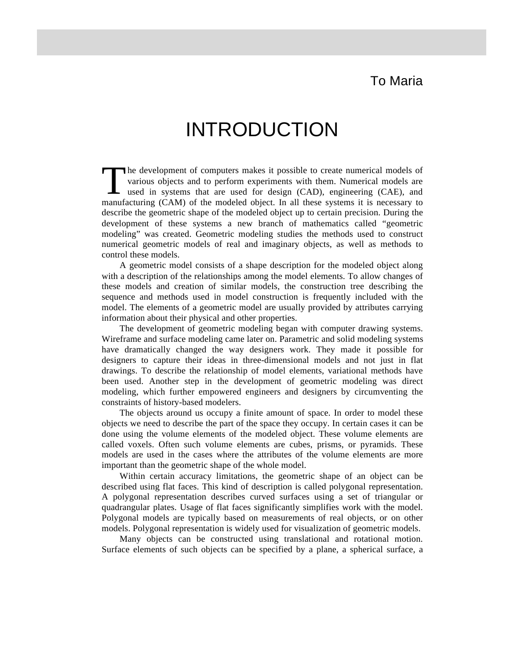## To Maria

## INTRODUCTION

he development of computers makes it possible to create numerical models of various objects and to perform experiments with them. Numerical models are used in systems that are used for design (CAD), engineering (CAE), and The development of computers makes it possible to create numerical models of various objects and to perform experiments with them. Numerical models are used in systems that are used for design (CAD), engineering (CAE), and describe the geometric shape of the modeled object up to certain precision. During the development of these systems a new branch of mathematics called "geometric modeling" was created. Geometric modeling studies the methods used to construct numerical geometric models of real and imaginary objects, as well as methods to control these models.

A geometric model consists of a shape description for the modeled object along with a description of the relationships among the model elements. To allow changes of these models and creation of similar models, the construction tree describing the sequence and methods used in model construction is frequently included with the model. The elements of a geometric model are usually provided by attributes carrying information about their physical and other properties.

The development of geometric modeling began with computer drawing systems. Wireframe and surface modeling came later on. Parametric and solid modeling systems have dramatically changed the way designers work. They made it possible for designers to capture their ideas in three-dimensional models and not just in flat drawings. To describe the relationship of model elements, variational methods have been used. Another step in the development of geometric modeling was direct modeling, which further empowered engineers and designers by circumventing the constraints of history-based modelers.

The objects around us occupy a finite amount of space. In order to model these objects we need to describe the part of the space they occupy. In certain cases it can be done using the volume elements of the modeled object. These volume elements are called voxels. Often such volume elements are cubes, prisms, or pyramids. These models are used in the cases where the attributes of the volume elements are more important than the geometric shape of the whole model.

Within certain accuracy limitations, the geometric shape of an object can be described using flat faces. This kind of description is called polygonal representation. A polygonal representation describes curved surfaces using a set of triangular or quadrangular plates. Usage of flat faces significantly simplifies work with the model. Polygonal models are typically based on measurements of real objects, or on other models. Polygonal representation is widely used for visualization of geometric models.

Many objects can be constructed using translational and rotational motion. Surface elements of such objects can be specified by a plane, a spherical surface, a